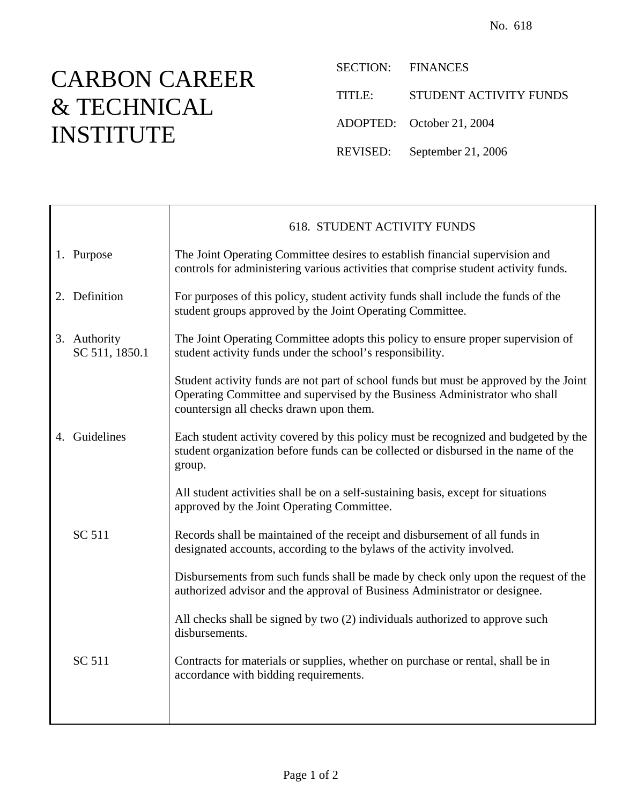## CARBON CAREER & TECHNICAL INSTITUTE

 $\top$ 

 $\mathsf{r}$ 

SECTION: FINANCES

TITLE: STUDENT ACTIVITY FUNDS

ADOPTED: October 21, 2004

REVISED: September 21, 2006

|                                | <b>618. STUDENT ACTIVITY FUNDS</b>                                                                                                                                                                             |
|--------------------------------|----------------------------------------------------------------------------------------------------------------------------------------------------------------------------------------------------------------|
| 1. Purpose                     | The Joint Operating Committee desires to establish financial supervision and<br>controls for administering various activities that comprise student activity funds.                                            |
| 2. Definition                  | For purposes of this policy, student activity funds shall include the funds of the<br>student groups approved by the Joint Operating Committee.                                                                |
| 3. Authority<br>SC 511, 1850.1 | The Joint Operating Committee adopts this policy to ensure proper supervision of<br>student activity funds under the school's responsibility.                                                                  |
|                                | Student activity funds are not part of school funds but must be approved by the Joint<br>Operating Committee and supervised by the Business Administrator who shall<br>countersign all checks drawn upon them. |
| 4. Guidelines                  | Each student activity covered by this policy must be recognized and budgeted by the<br>student organization before funds can be collected or disbursed in the name of the<br>group.                            |
|                                | All student activities shall be on a self-sustaining basis, except for situations<br>approved by the Joint Operating Committee.                                                                                |
| SC 511                         | Records shall be maintained of the receipt and disbursement of all funds in<br>designated accounts, according to the bylaws of the activity involved.                                                          |
|                                | Disbursements from such funds shall be made by check only upon the request of the<br>authorized advisor and the approval of Business Administrator or designee.                                                |
|                                | All checks shall be signed by two (2) individuals authorized to approve such<br>disbursements.                                                                                                                 |
| SC 511                         | Contracts for materials or supplies, whether on purchase or rental, shall be in<br>accordance with bidding requirements.                                                                                       |
|                                |                                                                                                                                                                                                                |